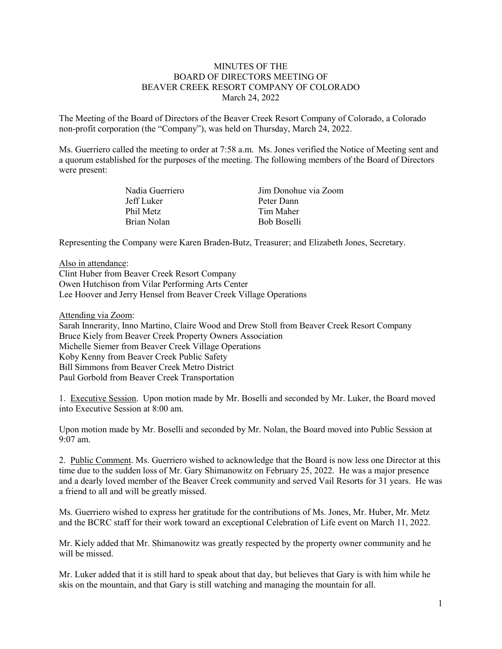## MINUTES OF THE BOARD OF DIRECTORS MEETING OF BEAVER CREEK RESORT COMPANY OF COLORADO March 24, 2022

The Meeting of the Board of Directors of the Beaver Creek Resort Company of Colorado, a Colorado non-profit corporation (the "Company"), was held on Thursday, March 24, 2022.

Ms. Guerriero called the meeting to order at 7:58 a.m. Ms. Jones verified the Notice of Meeting sent and a quorum established for the purposes of the meeting. The following members of the Board of Directors were present:

| Nadia Guerriero | Jim Donohue via Zoom |
|-----------------|----------------------|
| Jeff Luker      | Peter Dann           |
| Phil Metz       | Tim Maher            |
| Brian Nolan     | <b>Bob Boselli</b>   |
|                 |                      |

Representing the Company were Karen Braden-Butz, Treasurer; and Elizabeth Jones, Secretary.

Also in attendance: Clint Huber from Beaver Creek Resort Company Owen Hutchison from Vilar Performing Arts Center Lee Hoover and Jerry Hensel from Beaver Creek Village Operations

Attending via Zoom:

Sarah Innerarity, Inno Martino, Claire Wood and Drew Stoll from Beaver Creek Resort Company Bruce Kiely from Beaver Creek Property Owners Association Michelle Siemer from Beaver Creek Village Operations Koby Kenny from Beaver Creek Public Safety Bill Simmons from Beaver Creek Metro District Paul Gorbold from Beaver Creek Transportation

1. Executive Session. Upon motion made by Mr. Boselli and seconded by Mr. Luker, the Board moved into Executive Session at 8:00 am.

Upon motion made by Mr. Boselli and seconded by Mr. Nolan, the Board moved into Public Session at 9:07 am.

2. Public Comment. Ms. Guerriero wished to acknowledge that the Board is now less one Director at this time due to the sudden loss of Mr. Gary Shimanowitz on February 25, 2022. He was a major presence and a dearly loved member of the Beaver Creek community and served Vail Resorts for 31 years. He was a friend to all and will be greatly missed.

Ms. Guerriero wished to express her gratitude for the contributions of Ms. Jones, Mr. Huber, Mr. Metz and the BCRC staff for their work toward an exceptional Celebration of Life event on March 11, 2022.

Mr. Kiely added that Mr. Shimanowitz was greatly respected by the property owner community and he will be missed.

Mr. Luker added that it is still hard to speak about that day, but believes that Gary is with him while he skis on the mountain, and that Gary is still watching and managing the mountain for all.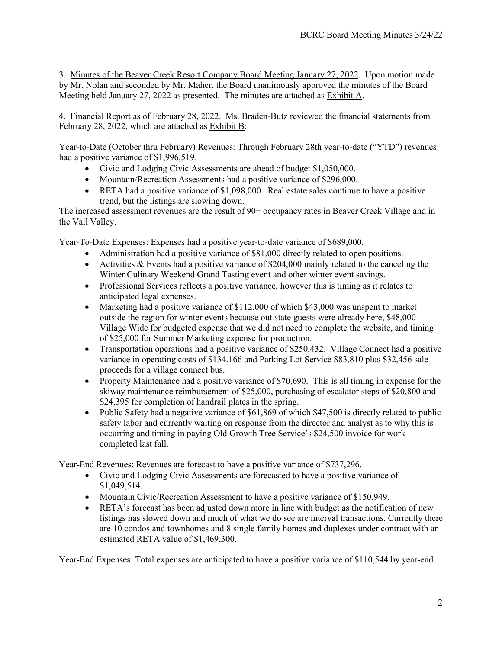3. Minutes of the Beaver Creek Resort Company Board Meeting January 27, 2022. Upon motion made by Mr. Nolan and seconded by Mr. Maher, the Board unanimously approved the minutes of the Board Meeting held January 27, 2022 as presented. The minutes are attached as Exhibit A.

4. Financial Report as of February 28, 2022. Ms. Braden-Butz reviewed the financial statements from February 28, 2022, which are attached as Exhibit B:

Year-to-Date (October thru February) Revenues: Through February 28th year-to-date ("YTD") revenues had a positive variance of \$1,996,519.

- Civic and Lodging Civic Assessments are ahead of budget \$1,050,000.
- Mountain/Recreation Assessments had a positive variance of \$296,000.
- RETA had a positive variance of \$1,098,000. Real estate sales continue to have a positive trend, but the listings are slowing down.

The increased assessment revenues are the result of 90+ occupancy rates in Beaver Creek Village and in the Vail Valley.

Year-To-Date Expenses: Expenses had a positive year-to-date variance of \$689,000.

- Administration had a positive variance of \$81,000 directly related to open positions.
- Activities & Events had a positive variance of \$204,000 mainly related to the canceling the Winter Culinary Weekend Grand Tasting event and other winter event savings.
- Professional Services reflects a positive variance, however this is timing as it relates to anticipated legal expenses.
- Marketing had a positive variance of \$112,000 of which \$43,000 was unspent to market outside the region for winter events because out state guests were already here, \$48,000 Village Wide for budgeted expense that we did not need to complete the website, and timing of \$25,000 for Summer Marketing expense for production.
- Transportation operations had a positive variance of \$250,432. Village Connect had a positive variance in operating costs of \$134,166 and Parking Lot Service \$83,810 plus \$32,456 sale proceeds for a village connect bus.
- Property Maintenance had a positive variance of \$70,690. This is all timing in expense for the skiway maintenance reimbursement of \$25,000, purchasing of escalator steps of \$20,800 and \$24,395 for completion of handrail plates in the spring.
- Public Safety had a negative variance of \$61,869 of which \$47,500 is directly related to public safety labor and currently waiting on response from the director and analyst as to why this is occurring and timing in paying Old Growth Tree Service's \$24,500 invoice for work completed last fall.

Year-End Revenues: Revenues are forecast to have a positive variance of \$737,296.

- Civic and Lodging Civic Assessments are forecasted to have a positive variance of \$1,049,514.
- Mountain Civic/Recreation Assessment to have a positive variance of \$150,949.
- RETA's forecast has been adjusted down more in line with budget as the notification of new listings has slowed down and much of what we do see are interval transactions. Currently there are 10 condos and townhomes and 8 single family homes and duplexes under contract with an estimated RETA value of \$1,469,300.

Year-End Expenses: Total expenses are anticipated to have a positive variance of \$110,544 by year-end.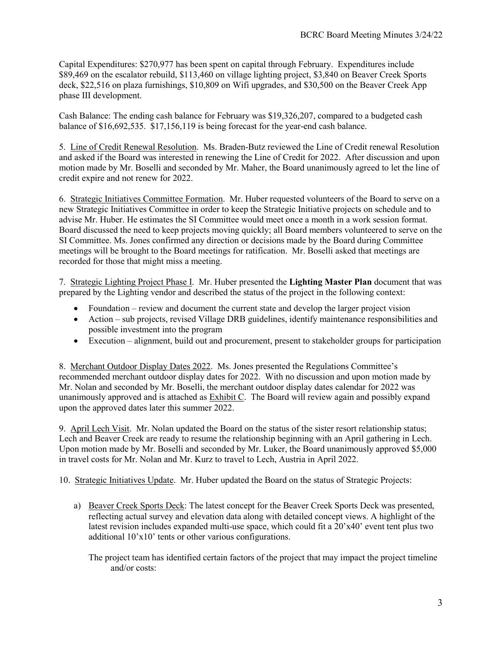Capital Expenditures: \$270,977 has been spent on capital through February. Expenditures include \$89,469 on the escalator rebuild, \$113,460 on village lighting project, \$3,840 on Beaver Creek Sports deck, \$22,516 on plaza furnishings, \$10,809 on Wifi upgrades, and \$30,500 on the Beaver Creek App phase III development.

Cash Balance: The ending cash balance for February was \$19,326,207, compared to a budgeted cash balance of \$16,692,535. \$17,156,119 is being forecast for the year-end cash balance.

5. Line of Credit Renewal Resolution. Ms. Braden-Butz reviewed the Line of Credit renewal Resolution and asked if the Board was interested in renewing the Line of Credit for 2022. After discussion and upon motion made by Mr. Boselli and seconded by Mr. Maher, the Board unanimously agreed to let the line of credit expire and not renew for 2022.

6. Strategic Initiatives Committee Formation. Mr. Huber requested volunteers of the Board to serve on a new Strategic Initiatives Committee in order to keep the Strategic Initiative projects on schedule and to advise Mr. Huber. He estimates the SI Committee would meet once a month in a work session format. Board discussed the need to keep projects moving quickly; all Board members volunteered to serve on the SI Committee. Ms. Jones confirmed any direction or decisions made by the Board during Committee meetings will be brought to the Board meetings for ratification. Mr. Boselli asked that meetings are recorded for those that might miss a meeting.

7. Strategic Lighting Project Phase I. Mr. Huber presented the **Lighting Master Plan** document that was prepared by the Lighting vendor and described the status of the project in the following context:

- Foundation review and document the current state and develop the larger project vision
- Action sub projects, revised Village DRB guidelines, identify maintenance responsibilities and possible investment into the program
- Execution alignment, build out and procurement, present to stakeholder groups for participation

8. Merchant Outdoor Display Dates 2022. Ms. Jones presented the Regulations Committee's recommended merchant outdoor display dates for 2022. With no discussion and upon motion made by Mr. Nolan and seconded by Mr. Boselli, the merchant outdoor display dates calendar for 2022 was unanimously approved and is attached as Exhibit C. The Board will review again and possibly expand upon the approved dates later this summer 2022.

9. April Lech Visit. Mr. Nolan updated the Board on the status of the sister resort relationship status; Lech and Beaver Creek are ready to resume the relationship beginning with an April gathering in Lech. Upon motion made by Mr. Boselli and seconded by Mr. Luker, the Board unanimously approved \$5,000 in travel costs for Mr. Nolan and Mr. Kurz to travel to Lech, Austria in April 2022.

10. Strategic Initiatives Update. Mr. Huber updated the Board on the status of Strategic Projects:

a) Beaver Creek Sports Deck: The latest concept for the Beaver Creek Sports Deck was presented, reflecting actual survey and elevation data along with detailed concept views. A highlight of the latest revision includes expanded multi-use space, which could fit a 20'x40' event tent plus two additional 10'x10' tents or other various configurations.

The project team has identified certain factors of the project that may impact the project timeline and/or costs: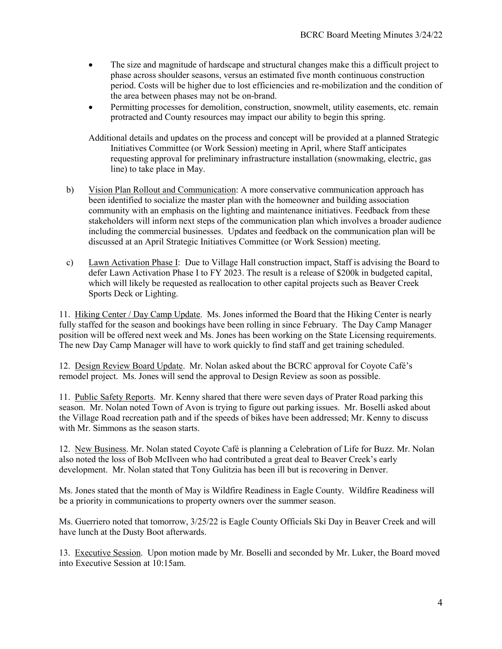- The size and magnitude of hardscape and structural changes make this a difficult project to phase across shoulder seasons, versus an estimated five month continuous construction period. Costs will be higher due to lost efficiencies and re-mobilization and the condition of the area between phases may not be on-brand.
- Permitting processes for demolition, construction, snowmelt, utility easements, etc. remain protracted and County resources may impact our ability to begin this spring.

Additional details and updates on the process and concept will be provided at a planned Strategic Initiatives Committee (or Work Session) meeting in April, where Staff anticipates requesting approval for preliminary infrastructure installation (snowmaking, electric, gas line) to take place in May.

- b) Vision Plan Rollout and Communication: A more conservative communication approach has been identified to socialize the master plan with the homeowner and building association community with an emphasis on the lighting and maintenance initiatives. Feedback from these stakeholders will inform next steps of the communication plan which involves a broader audience including the commercial businesses. Updates and feedback on the communication plan will be discussed at an April Strategic Initiatives Committee (or Work Session) meeting.
- c) Lawn Activation Phase I: Due to Village Hall construction impact, Staff is advising the Board to defer Lawn Activation Phase I to FY 2023. The result is a release of \$200k in budgeted capital, which will likely be requested as reallocation to other capital projects such as Beaver Creek Sports Deck or Lighting.

11. Hiking Center / Day Camp Update. Ms. Jones informed the Board that the Hiking Center is nearly fully staffed for the season and bookings have been rolling in since February. The Day Camp Manager position will be offered next week and Ms. Jones has been working on the State Licensing requirements. The new Day Camp Manager will have to work quickly to find staff and get training scheduled.

12. Design Review Board Update. Mr. Nolan asked about the BCRC approval for Coyote Café's remodel project. Ms. Jones will send the approval to Design Review as soon as possible.

11. Public Safety Reports. Mr. Kenny shared that there were seven days of Prater Road parking this season. Mr. Nolan noted Town of Avon is trying to figure out parking issues. Mr. Boselli asked about the Village Road recreation path and if the speeds of bikes have been addressed; Mr. Kenny to discuss with Mr. Simmons as the season starts.

12. New Business. Mr. Nolan stated Coyote Café is planning a Celebration of Life for Buzz. Mr. Nolan also noted the loss of Bob McIlveen who had contributed a great deal to Beaver Creek's early development. Mr. Nolan stated that Tony Gulitzia has been ill but is recovering in Denver.

Ms. Jones stated that the month of May is Wildfire Readiness in Eagle County. Wildfire Readiness will be a priority in communications to property owners over the summer season.

Ms. Guerriero noted that tomorrow, 3/25/22 is Eagle County Officials Ski Day in Beaver Creek and will have lunch at the Dusty Boot afterwards.

13. Executive Session. Upon motion made by Mr. Boselli and seconded by Mr. Luker, the Board moved into Executive Session at 10:15am.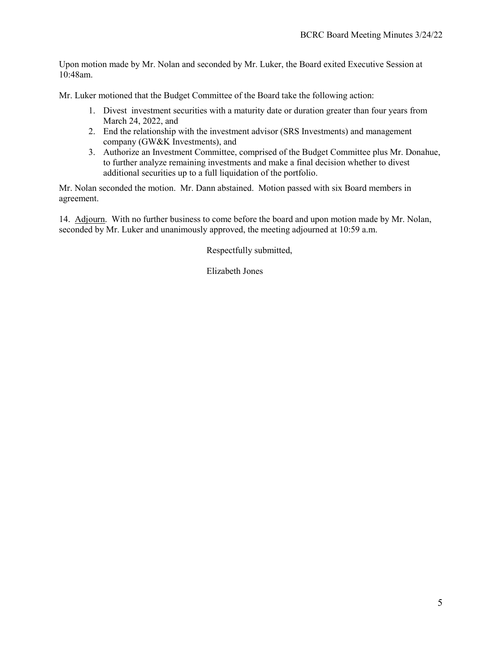Upon motion made by Mr. Nolan and seconded by Mr. Luker, the Board exited Executive Session at 10:48am.

Mr. Luker motioned that the Budget Committee of the Board take the following action:

- 1. Divest investment securities with a maturity date or duration greater than four years from March 24, 2022, and
- 2. End the relationship with the investment advisor (SRS Investments) and management company (GW&K Investments), and
- 3. Authorize an Investment Committee, comprised of the Budget Committee plus Mr. Donahue, to further analyze remaining investments and make a final decision whether to divest additional securities up to a full liquidation of the portfolio.

Mr. Nolan seconded the motion. Mr. Dann abstained. Motion passed with six Board members in agreement.

14. Adjourn. With no further business to come before the board and upon motion made by Mr. Nolan, seconded by Mr. Luker and unanimously approved, the meeting adjourned at 10:59 a.m.

Respectfully submitted,

Elizabeth Jones